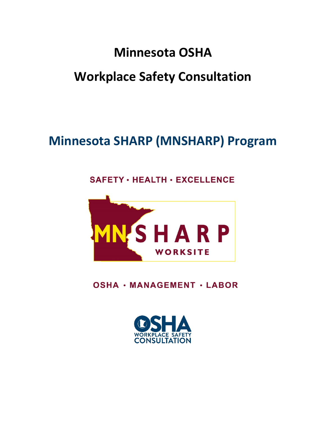# **Minnesota OSHA Workplace Safety Consultation**

## **Minnesota SHARP (MNSHARP) Program**

**SAFETY · HEALTH · EXCELLENCE** 



**OSHA · MANAGEMENT · LABOR** 

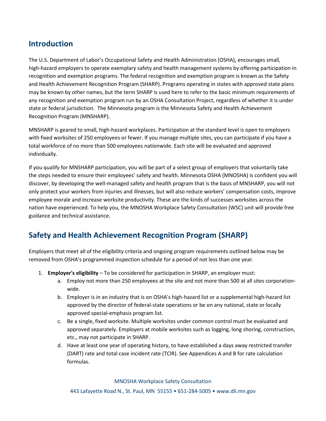### **Introduction**

The U.S. Department of Labor's Occupational Safety and Health Administration (OSHA), encourages small, high-hazard employers to operate exemplary safety and health management systems by offering participation in recognition and exemption programs. The federal recognition and exemption program is known as the Safety and Health Achievement Recognition Program (SHARP). Programs operating in states with approved state plans may be known by other names, but the term SHARP is used here to refer to the basic minimum requirements of any recognition and exemption program run by an OSHA Consultation Project, regardless of whether it is under state or federal jurisdiction. The Minnesota program is the Minnesota Safety and Health Achievement Recognition Program (MNSHARP).

MNSHARP is geared to small, high-hazard workplaces. Participation at the standard level is open to employers with fixed worksites of 250 employees or fewer. If you manage multiple sites, you can participate if you have a total workforce of no more than 500 employees nationwide. Each site will be evaluated and approved individually.

If you qualify for MNSHARP participation, you will be part of a select group of employers that voluntarily take the steps needed to ensure their employees' safety and health. Minnesota OSHA (MNOSHA) is confident you will discover, by developing the well-managed safety and health program that is the basis of MNSHARP, you will not only protect your workers from injuries and illnesses, but will also reduce workers' compensation costs, improve employee morale and increase worksite productivity. These are the kinds of successes worksites across the nation have experienced. To help you, the MNOSHA Workplace Safety Consultation (WSC) unit will provide free guidance and technical assistance.

### **Safety and Health Achievement Recognition Program (SHARP)**

Employers that meet all of the eligibility criteria and ongoing program requirements outlined below may be removed from OSHA's programmed inspection schedule for a period of not less than one year.

- 1. **Employer's eligibility** To be considered for participation in SHARP, an employer must:
	- a. Employ not more than 250 employees at the site and not more than 500 at all sites corporationwide.
	- b. Employer is in an industry that is on OSHA's high-hazard list or a supplemental high-hazard list approved by the director of federal-state operations or be on any national, state or locally approved special-emphasis program list.
	- c. Be a single, fixed worksite. Multiple worksites under common control must be evaluated and approved separately. Employers at mobile worksites such as logging, long shoring, construction, etc., may not participate in SHARP.
	- d. Have at least one year of operating history, to have established a days away restricted transfer (DART) rate and total case incident rate (TCIR). See Appendices A and B for rate calculation formulas.

MNOSHA Workplace Safety Consultation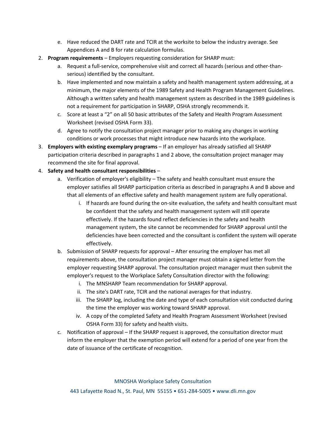- e. Have reduced the DART rate and TCIR at the worksite to below the industry average. See Appendices A and B for rate calculation formulas.
- 2. **Program requirements** Employers requesting consideration for SHARP must:
	- a. Request a full-service, comprehensive visit and correct all hazards (serious and other-thanserious) identified by the consultant.
	- b. Have implemented and now maintain a safety and health management system addressing, at a minimum, the major elements of the 1989 Safety and Health Program Management Guidelines. Although a written safety and health management system as described in the 1989 guidelines is not a requirement for participation in SHARP, OSHA strongly recommends it.
	- c. Score at least a "2" on all 50 basic attributes of the Safety and Health Program Assessment Worksheet (revised OSHA Form 33).
	- d. Agree to notify the consultation project manager prior to making any changes in working conditions or work processes that might introduce new hazards into the workplace.
- 3. **Employers with existing exemplary programs** If an employer has already satisfied all SHARP participation criteria described in paragraphs 1 and 2 above, the consultation project manager may recommend the site for final approval.
- 4. **Safety and health consultant responsibilities**
	- a. Verification of employer's eligibility The safety and health consultant must ensure the employer satisfies all SHARP participation criteria as described in paragraphs A and B above and that all elements of an effective safety and health management system are fully operational.
		- i. If hazards are found during the on-site evaluation, the safety and health consultant must be confident that the safety and health management system will still operate effectively. If the hazards found reflect deficiencies in the safety and health management system, the site cannot be recommended for SHARP approval until the deficiencies have been corrected and the consultant is confident the system will operate effectively.
	- b. Submission of SHARP requests for approval After ensuring the employer has met all requirements above, the consultation project manager must obtain a signed letter from the employer requesting SHARP approval. The consultation project manager must then submit the employer's request to the Workplace Safety Consultation director with the following:
		- i. The MNSHARP Team recommendation for SHARP approval.
		- ii. The site's DART rate, TCIR and the national averages for that industry.
		- iii. The SHARP log, including the date and type of each consultation visit conducted during the time the employer was working toward SHARP approval.
		- iv. A copy of the completed Safety and Health Program Assessment Worksheet (revised OSHA Form 33) for safety and health visits.
	- c. Notification of approval If the SHARP request is approved, the consultation director must inform the employer that the exemption period will extend for a period of one year from the date of issuance of the certificate of recognition.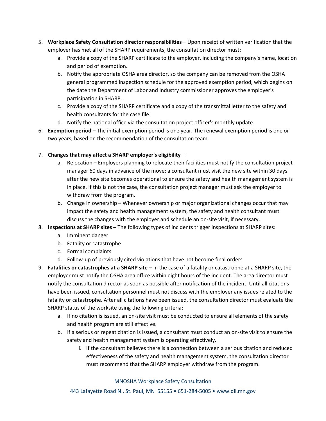- 5. **Workplace Safety Consultation director responsibilities** Upon receipt of written verification that the employer has met all of the SHARP requirements, the consultation director must:
	- a. Provide a copy of the SHARP certificate to the employer, including the company's name, location and period of exemption.
	- b. Notify the appropriate OSHA area director, so the company can be removed from the OSHA general programmed inspection schedule for the approved exemption period, which begins on the date the Department of Labor and Industry commissioner approves the employer's participation in SHARP.
	- c. Provide a copy of the SHARP certificate and a copy of the transmittal letter to the safety and health consultants for the case file.
	- d. Notify the national office via the consultation project officer's monthly update.
- 6. **Exemption period** The initial exemption period is one year. The renewal exemption period is one or two years, based on the recommendation of the consultation team.

### 7. **Changes that may affect a SHARP employer's eligibility** –

- a. Relocation Employers planning to relocate their facilities must notify the consultation project manager 60 days in advance of the move; a consultant must visit the new site within 30 days after the new site becomes operational to ensure the safety and health management system is in place. If this is not the case, the consultation project manager must ask the employer to withdraw from the program.
- b. Change in ownership Whenever ownership or major organizational changes occur that may impact the safety and health management system, the safety and health consultant must discuss the changes with the employer and schedule an on-site visit, if necessary.
- 8. **Inspections at SHARP sites** The following types of incidents trigger inspections at SHARP sites:
	- a. Imminent danger
	- b. Fatality or catastrophe
	- c. Formal complaints
	- d. Follow-up of previously cited violations that have not become final orders
- 9. **Fatalities or catastrophes at a SHARP site** In the case of a fatality or catastrophe at a SHARP site, the employer must notify the OSHA area office within eight hours of the incident. The area director must notify the consultation director as soon as possible after notification of the incident. Until all citations have been issued, consultation personnel must not discuss with the employer any issues related to the fatality or catastrophe. After all citations have been issued, the consultation director must evaluate the SHARP status of the worksite using the following criteria:
	- a. If no citation is issued, an on-site visit must be conducted to ensure all elements of the safety and health program are still effective.
	- b. If a serious or repeat citation is issued, a consultant must conduct an on-site visit to ensure the safety and health management system is operating effectively.
		- i. If the consultant believes there is a connection between a serious citation and reduced effectiveness of the safety and health management system, the consultation director must recommend that the SHARP employer withdraw from the program.

### MNOSHA Workplace Safety Consultation

443 Lafayette Road N., St. Paul, MN 55155 • 651-284-5005 • www.dli.mn.gov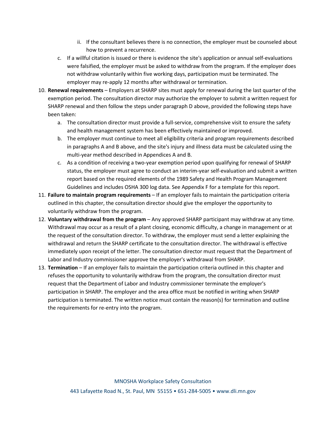- ii. If the consultant believes there is no connection, the employer must be counseled about how to prevent a recurrence.
- c. If a willful citation is issued or there is evidence the site's application or annual self-evaluations were falsified, the employer must be asked to withdraw from the program. If the employer does not withdraw voluntarily within five working days, participation must be terminated. The employer may re-apply 12 months after withdrawal or termination.
- 10. **Renewal requirements** Employers at SHARP sites must apply for renewal during the last quarter of the exemption period. The consultation director may authorize the employer to submit a written request for SHARP renewal and then follow the steps under paragraph D above, provided the following steps have been taken:
	- a. The consultation director must provide a full-service, comprehensive visit to ensure the safety and health management system has been effectively maintained or improved.
	- b. The employer must continue to meet all eligibility criteria and program requirements described in paragraphs A and B above, and the site's injury and illness data must be calculated using the multi-year method described in Appendices A and B.
	- c. As a condition of receiving a two-year exemption period upon qualifying for renewal of SHARP status, the employer must agree to conduct an interim-year self-evaluation and submit a written report based on the required elements of the 1989 Safety and Health Program Management Guidelines and includes OSHA 300 log data. See Appendix F for a template for this report.
- 11. **Failure to maintain program requirements** If an employer fails to maintain the participation criteria outlined in this chapter, the consultation director should give the employer the opportunity to voluntarily withdraw from the program.
- 12. **Voluntary withdrawal from the program** Any approved SHARP participant may withdraw at any time. Withdrawal may occur as a result of a plant closing, economic difficulty, a change in management or at the request of the consultation director. To withdraw, the employer must send a letter explaining the withdrawal and return the SHARP certificate to the consultation director. The withdrawal is effective immediately upon receipt of the letter. The consultation director must request that the Department of Labor and Industry commissioner approve the employer's withdrawal from SHARP.
- 13. **Termination** If an employer fails to maintain the participation criteria outlined in this chapter and refuses the opportunity to voluntarily withdraw from the program, the consultation director must request that the Department of Labor and Industry commissioner terminate the employer's participation in SHARP. The employer and the area office must be notified in writing when SHARP participation is terminated. The written notice must contain the reason(s) for termination and outline the requirements for re-entry into the program.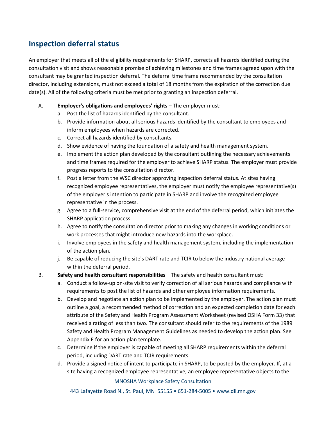### **Inspection deferral status**

An employer that meets all of the eligibility requirements for SHARP, corrects all hazards identified during the consultation visit and shows reasonable promise of achieving milestones and time frames agreed upon with the consultant may be granted inspection deferral. The deferral time frame recommended by the consultation director, including extensions, must not exceed a total of 18 months from the expiration of the correction due date(s). All of the following criteria must be met prior to granting an inspection deferral.

### A. **Employer's obligations and employees' rights** – The employer must:

- a. Post the list of hazards identified by the consultant.
- b. Provide information about all serious hazards identified by the consultant to employees and inform employees when hazards are corrected.
- c. Correct all hazards identified by consultants.
- d. Show evidence of having the foundation of a safety and health management system.
- e. Implement the action plan developed by the consultant outlining the necessary achievements and time frames required for the employer to achieve SHARP status. The employer must provide progress reports to the consultation director.
- f. Post a letter from the WSC director approving inspection deferral status. At sites having recognized employee representatives, the employer must notify the employee representative(s) of the employer's intention to participate in SHARP and involve the recognized employee representative in the process.
- g. Agree to a full-service, comprehensive visit at the end of the deferral period, which initiates the SHARP application process.
- h. Agree to notify the consultation director prior to making any changes in working conditions or work processes that might introduce new hazards into the workplace.
- i. Involve employees in the safety and health management system, including the implementation of the action plan.
- j. Be capable of reducing the site's DART rate and TCIR to below the industry national average within the deferral period.
- B. **Safety and health consultant responsibilities** The safety and health consultant must:
	- a. Conduct a follow-up on-site visit to verify correction of all serious hazards and compliance with requirements to post the list of hazards and other employee information requirements.
	- b. Develop and negotiate an action plan to be implemented by the employer. The action plan must outline a goal, a recommended method of correction and an expected completion date for each attribute of the Safety and Health Program Assessment Worksheet (revised OSHA Form 33) that received a rating of less than two. The consultant should refer to the requirements of the 1989 Safety and Health Program Management Guidelines as needed to develop the action plan. See Appendix E for an action plan template.
	- c. Determine if the employer is capable of meeting all SHARP requirements within the deferral period, including DART rate and TCIR requirements.
	- d. Provide a signed notice of intent to participate in SHARP, to be posted by the employer. If, at a site having a recognized employee representative, an employee representative objects to the

### MNOSHA Workplace Safety Consultation

443 Lafayette Road N., St. Paul, MN 55155 • 651-284-5005 • www.dli.mn.gov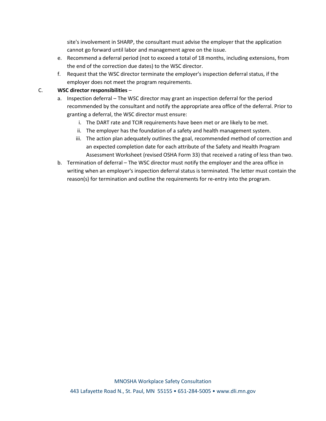site's involvement in SHARP, the consultant must advise the employer that the application cannot go forward until labor and management agree on the issue.

- e. Recommend a deferral period (not to exceed a total of 18 months, including extensions, from the end of the correction due dates) to the WSC director.
- f. Request that the WSC director terminate the employer's inspection deferral status, if the employer does not meet the program requirements.

### C. **WSC director responsibilities** –

- a. Inspection deferral The WSC director may grant an inspection deferral for the period recommended by the consultant and notify the appropriate area office of the deferral. Prior to granting a deferral, the WSC director must ensure:
	- i. The DART rate and TCIR requirements have been met or are likely to be met.
	- ii. The employer has the foundation of a safety and health management system.
	- iii. The action plan adequately outlines the goal, recommended method of correction and an expected completion date for each attribute of the Safety and Health Program Assessment Worksheet (revised OSHA Form 33) that received a rating of less than two.
- b. Termination of deferral The WSC director must notify the employer and the area office in writing when an employer's inspection deferral status is terminated. The letter must contain the reason(s) for termination and outline the requirements for re-entry into the program.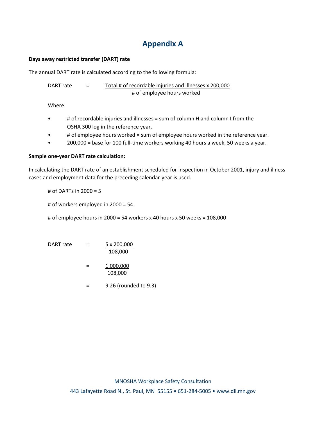### **Appendix A**

### **Days away restricted transfer (DART) rate**

The annual DART rate is calculated according to the following formula:

DART rate  $=$  Total # of recordable injuries and illnesses x 200,000 # of employee hours worked

Where:

- # of recordable injuries and illnesses = sum of column H and column I from the OSHA 300 log in the reference year.
- # of employee hours worked = sum of employee hours worked in the reference year.
- 200,000 = base for 100 full-time workers working 40 hours a week, 50 weeks a year.

### **Sample one-year DART rate calculation:**

In calculating the DART rate of an establishment scheduled for inspection in October 2001, injury and illness cases and employment data for the preceding calendar-year is used.

# of DARTs in 2000 = 5

# of workers employed in 2000 = 54

# of employee hours in 2000 = 54 workers x 40 hours x 50 weeks = 108,000

| DART rate | = | 5 x 200,000 |
|-----------|---|-------------|
|           |   | 108,000     |

- $=$  1,000,000 108,000
- = 9.26 (rounded to 9.3)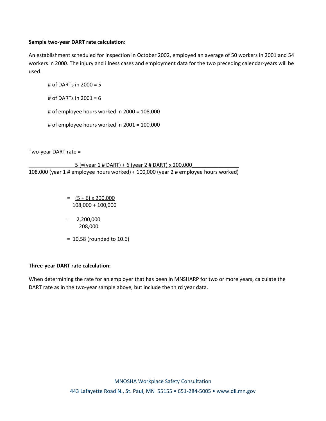### **Sample two-year DART rate calculation:**

An establishment scheduled for inspection in October 2002, employed an average of 50 workers in 2001 and 54 workers in 2000. The injury and illness cases and employment data for the two preceding calendar-years will be used.

# of DARTs in 2000 = 5 # of DARTs in  $2001 = 6$ # of employee hours worked in 2000 = 108,000 # of employee hours worked in 2001 = 100,000

Two-year DART rate =

5  $=$  (year 1 # DART) + 6 (year 2 # DART) x 200,000 108,000 (year 1 # employee hours worked) + 100,000 (year 2 # employee hours worked)

> $=$   $(5 + 6) \times 200,000$ 108,000 + 100,000

```
= 2,200,000 208,000
```
= 10.58 (rounded to 10.6)

### **Three-year DART rate calculation:**

When determining the rate for an employer that has been in MNSHARP for two or more years, calculate the DART rate as in the two-year sample above, but include the third year data.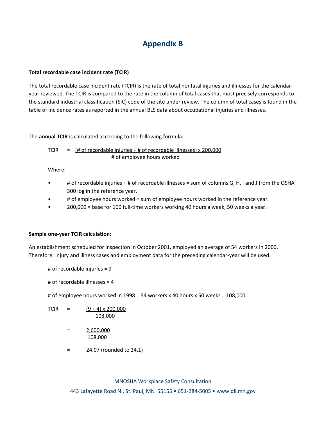### **Appendix B**

### **Total recordable case incident rate (TCIR)**

The total recordable case incident rate (TCIR) is the rate of total nonfatal injuries and illnesses for the calendaryear reviewed. The TCIR is compared to the rate in the column of total cases that most precisely corresponds to the standard industrial classification (SIC) code of the site under review. The column of total cases is found in the table of incidence rates as reported in the annual BLS data about occupational injuries and illnesses.

The **annual TCIR** is calculated according to the following formula:

TCIR  $=$  (# of recordable injuries + # of recordable illnesses) x 200,000 # of employee hours worked

Where:

- # of recordable injuries + # of recordable illnesses = sum of columns G, H, I and J from the OSHA 300 log in the reference year.
- # of employee hours worked = sum of employee hours worked in the reference year.
- 200,000 = base for 100 full-time workers working 40 hours a week, 50 weeks a year.

### **Sample one-year TCIR calculation:**

An establishment scheduled for inspection in October 2001, employed an average of 54 workers in 2000. Therefore, injury and illness cases and employment data for the preceding calendar-year will be used.

# of recordable injuries = 9

# of recordable illnesses = 4

# of employee hours worked in 1998 = 54 workers x 40 hours x 50 weeks = 108,000

| TCIR | = | $(9 + 4) \times 200,000$ |
|------|---|--------------------------|
|      |   | 108,000                  |

- $=$  2,600,000 108,000
- = 24.07 (rounded to 24.1)

MNOSHA Workplace Safety Consultation

443 Lafayette Road N., St. Paul, MN 55155 • 651-284-5005 • www.dli.mn.gov